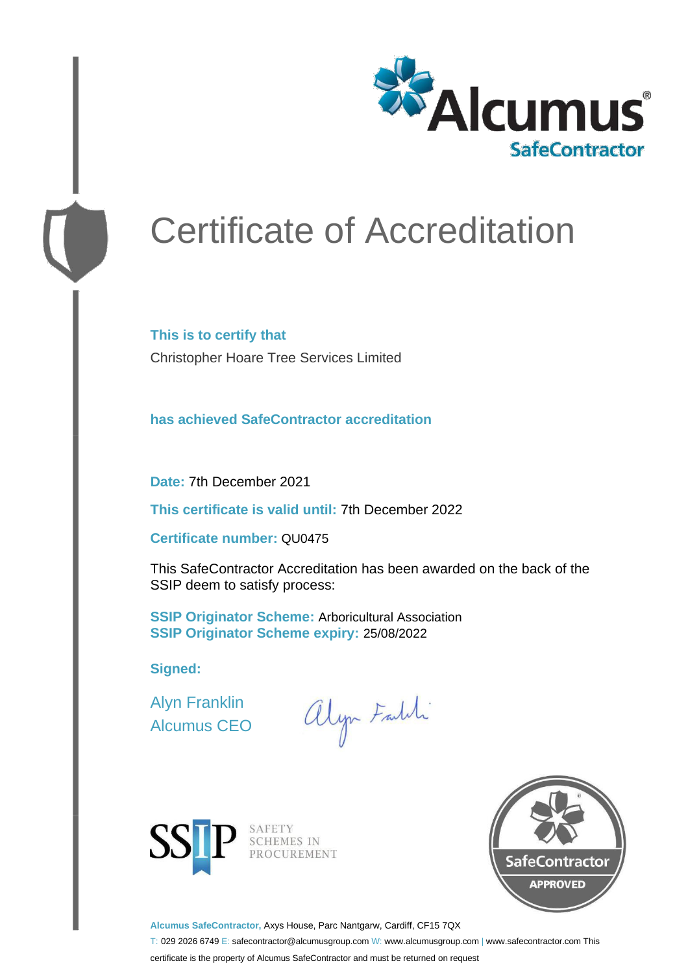

# Certificate of Accreditation

**This is to certify that** Christopher Hoare Tree Services Limited

**has achieved SafeContractor accreditation**

**Date:** 7th December 2021

**This certificate is valid until:** 7th December 2022

**Certificate number:** QU0475

This SafeContractor Accreditation has been awarded on the back of the SSIP deem to satisfy process:

**SSIP Originator Scheme:** Arboricultural Association **SSIP Originator Scheme expiry:** 25/08/2022

**Signed:**

Alyn Franklin Alcumus CEO

alyn Falli



SAFETY<br>SCHEMES IN<br>PROCUREMENT



**Alcumus SafeContractor,** Axys House, Parc Nantgarw, Cardiff, CF15 7QX

T: 029 2026 6749 E: safecontractor@alcumusgroup.com W: www.alcumusgroup.com | www.safecontractor.com This

certificate is the property of Alcumus SafeContractor and must be returned on request